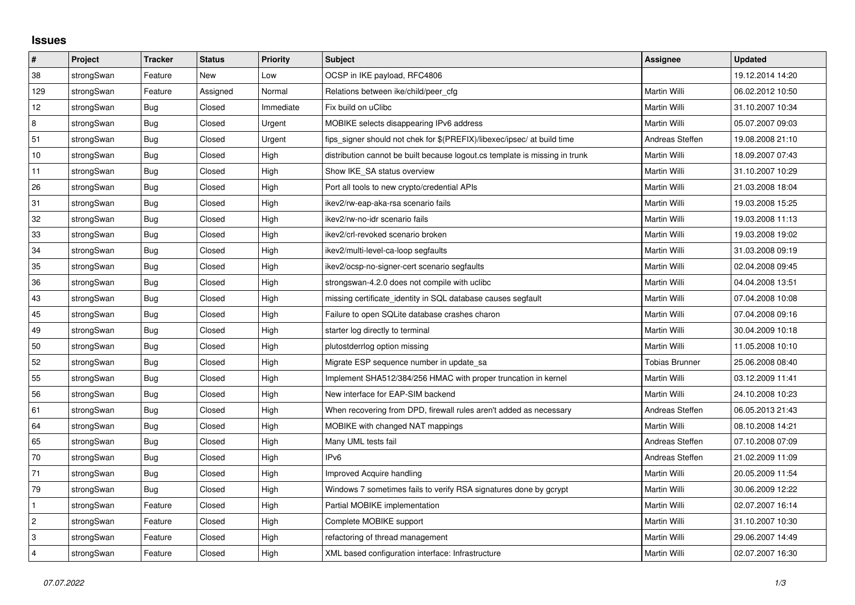## **Issues**

| $\pmb{\#}$              | <b>Project</b> | <b>Tracker</b> | <b>Status</b> | <b>Priority</b> | <b>Subject</b>                                                              | Assignee              | <b>Updated</b>   |
|-------------------------|----------------|----------------|---------------|-----------------|-----------------------------------------------------------------------------|-----------------------|------------------|
| 38                      | strongSwan     | Feature        | New           | Low             | OCSP in IKE payload, RFC4806                                                |                       | 19.12.2014 14:20 |
| 129                     | strongSwan     | Feature        | Assigned      | Normal          | Relations between ike/child/peer cfg                                        | Martin Willi          | 06.02.2012 10:50 |
| 12                      | strongSwan     | Bug            | Closed        | Immediate       | Fix build on uClibc                                                         | Martin Willi          | 31.10.2007 10:34 |
| 8                       | strongSwan     | Bug            | Closed        | Urgent          | MOBIKE selects disappearing IPv6 address                                    | Martin Willi          | 05.07.2007 09:03 |
| 51                      | strongSwan     | Bug            | Closed        | Urgent          | fips signer should not chek for \$(PREFIX)/libexec/ipsec/ at build time     | Andreas Steffen       | 19.08.2008 21:10 |
| 10                      | strongSwan     | Bug            | Closed        | High            | distribution cannot be built because logout.cs template is missing in trunk | Martin Willi          | 18.09.2007 07:43 |
| 11                      | strongSwan     | Bug            | Closed        | High            | Show IKE_SA status overview                                                 | Martin Willi          | 31.10.2007 10:29 |
| 26                      | strongSwan     | Bug            | Closed        | High            | Port all tools to new crypto/credential APIs                                | Martin Willi          | 21.03.2008 18:04 |
| 31                      | strongSwan     | Bug            | Closed        | High            | ikev2/rw-eap-aka-rsa scenario fails                                         | Martin Willi          | 19.03.2008 15:25 |
| 32                      | strongSwan     | Bug            | Closed        | High            | ikev2/rw-no-idr scenario fails                                              | Martin Willi          | 19.03.2008 11:13 |
| 33                      | strongSwan     | Bug            | Closed        | High            | ikev2/crl-revoked scenario broken                                           | Martin Willi          | 19.03.2008 19:02 |
| 34                      | strongSwan     | Bug            | Closed        | High            | ikev2/multi-level-ca-loop segfaults                                         | Martin Willi          | 31.03.2008 09:19 |
| 35                      | strongSwan     | Bug            | Closed        | High            | ikev2/ocsp-no-signer-cert scenario segfaults                                | Martin Willi          | 02.04.2008 09:45 |
| 36                      | strongSwan     | Bug            | Closed        | High            | strongswan-4.2.0 does not compile with uclibc                               | Martin Willi          | 04.04.2008 13:51 |
| 43                      | strongSwan     | Bug            | Closed        | High            | missing certificate identity in SQL database causes segfault                | Martin Willi          | 07.04.2008 10:08 |
| 45                      | strongSwan     | Bug            | Closed        | High            | Failure to open SQLite database crashes charon                              | Martin Willi          | 07.04.2008 09:16 |
| 49                      | strongSwan     | Bug            | Closed        | High            | starter log directly to terminal                                            | Martin Willi          | 30.04.2009 10:18 |
| 50                      | strongSwan     | Bug            | Closed        | High            | plutostderrlog option missing                                               | Martin Willi          | 11.05.2008 10:10 |
| 52                      | strongSwan     | <b>Bug</b>     | Closed        | High            | Migrate ESP sequence number in update sa                                    | <b>Tobias Brunner</b> | 25.06.2008 08:40 |
| 55                      | strongSwan     | Bug            | Closed        | High            | Implement SHA512/384/256 HMAC with proper truncation in kernel              | Martin Willi          | 03.12.2009 11:41 |
| 56                      | strongSwan     | Bug            | Closed        | High            | New interface for EAP-SIM backend                                           | Martin Willi          | 24.10.2008 10:23 |
| 61                      | strongSwan     | Bug            | Closed        | High            | When recovering from DPD, firewall rules aren't added as necessary          | Andreas Steffen       | 06.05.2013 21:43 |
| 64                      | strongSwan     | Bug            | Closed        | High            | MOBIKE with changed NAT mappings                                            | Martin Willi          | 08.10.2008 14:21 |
| 65                      | strongSwan     | Bug            | Closed        | High            | Many UML tests fail                                                         | Andreas Steffen       | 07.10.2008 07:09 |
| 70                      | strongSwan     | Bug            | Closed        | High            | IP <sub>v6</sub>                                                            | Andreas Steffen       | 21.02.2009 11:09 |
| 71                      | strongSwan     | Bug            | Closed        | High            | Improved Acquire handling                                                   | Martin Willi          | 20.05.2009 11:54 |
| 79                      | strongSwan     | Bug            | Closed        | High            | Windows 7 sometimes fails to verify RSA signatures done by gcrypt           | Martin Willi          | 30.06.2009 12:22 |
| $\mathbf{1}$            | strongSwan     | Feature        | Closed        | High            | Partial MOBIKE implementation                                               | Martin Willi          | 02.07.2007 16:14 |
| $\sqrt{2}$              | strongSwan     | Feature        | Closed        | High            | Complete MOBIKE support                                                     | Martin Willi          | 31.10.2007 10:30 |
| 3                       | strongSwan     | Feature        | Closed        | High            | refactoring of thread management                                            | Martin Willi          | 29.06.2007 14:49 |
| $\overline{\mathbf{4}}$ | strongSwan     | Feature        | Closed        | High            | XML based configuration interface: Infrastructure                           | Martin Willi          | 02.07.2007 16:30 |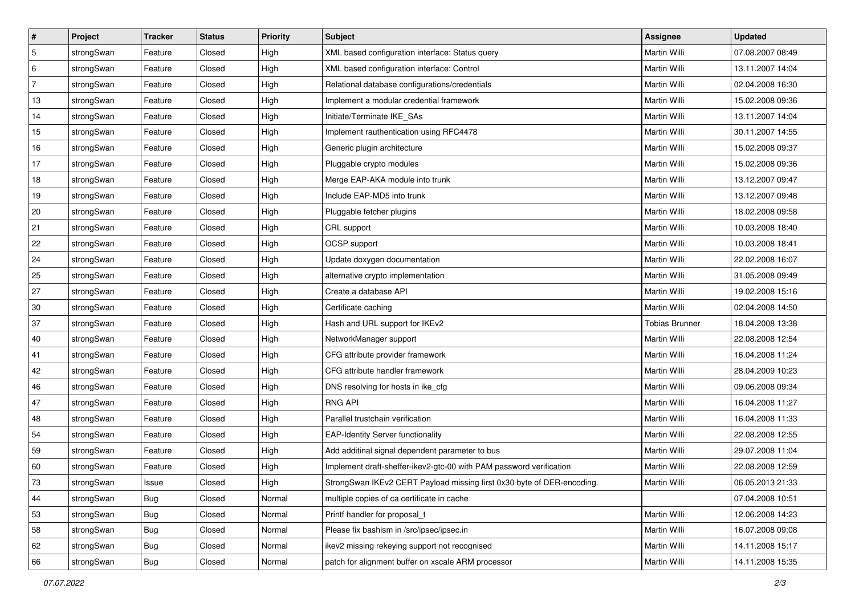| #          | Project    | <b>Tracker</b> | <b>Status</b> | <b>Priority</b> | <b>Subject</b>                                                         | Assignee              | <b>Updated</b>   |
|------------|------------|----------------|---------------|-----------------|------------------------------------------------------------------------|-----------------------|------------------|
| $\sqrt{5}$ | strongSwan | Feature        | Closed        | High            | XML based configuration interface: Status query                        | Martin Willi          | 07.08.2007 08:49 |
| 6          | strongSwan | Feature        | Closed        | High            | XML based configuration interface: Control                             | Martin Willi          | 13.11.2007 14:04 |
| 7          | strongSwan | Feature        | Closed        | High            | Relational database configurations/credentials                         | Martin Willi          | 02.04.2008 16:30 |
| 13         | strongSwan | Feature        | Closed        | High            | Implement a modular credential framework                               | Martin Willi          | 15.02.2008 09:36 |
| 14         | strongSwan | Feature        | Closed        | High            | Initiate/Terminate IKE_SAs                                             | <b>Martin Willi</b>   | 13.11.2007 14:04 |
| 15         | strongSwan | Feature        | Closed        | High            | Implement rauthentication using RFC4478                                | Martin Willi          | 30.11.2007 14:55 |
| 16         | strongSwan | Feature        | Closed        | High            | Generic plugin architecture                                            | Martin Willi          | 15.02.2008 09:37 |
| 17         | strongSwan | Feature        | Closed        | High            | Pluggable crypto modules                                               | Martin Willi          | 15.02.2008 09:36 |
| 18         | strongSwan | Feature        | Closed        | High            | Merge EAP-AKA module into trunk                                        | Martin Willi          | 13.12.2007 09:47 |
| 19         | strongSwan | Feature        | Closed        | High            | Include EAP-MD5 into trunk                                             | <b>Martin Willi</b>   | 13.12.2007 09:48 |
| 20         | strongSwan | Feature        | Closed        | High            | Pluggable fetcher plugins                                              | Martin Willi          | 18.02.2008 09:58 |
| 21         | strongSwan | Feature        | Closed        | High            | CRL support                                                            | Martin Willi          | 10.03.2008 18:40 |
| 22         | strongSwan | Feature        | Closed        | High            | OCSP support                                                           | <b>Martin Willi</b>   | 10.03.2008 18:41 |
| 24         | strongSwan | Feature        | Closed        | High            | Update doxygen documentation                                           | Martin Willi          | 22.02.2008 16:07 |
| 25         | strongSwan | Feature        | Closed        | High            | alternative crypto implementation                                      | Martin Willi          | 31.05.2008 09:49 |
| 27         | strongSwan | Feature        | Closed        | High            | Create a database API                                                  | Martin Willi          | 19.02.2008 15:16 |
| 30         | strongSwan | Feature        | Closed        | High            | Certificate caching                                                    | <b>Martin Willi</b>   | 02.04.2008 14:50 |
| 37         | strongSwan | Feature        | Closed        | High            | Hash and URL support for IKEv2                                         | <b>Tobias Brunner</b> | 18.04.2008 13:38 |
| 40         | strongSwan | Feature        | Closed        | High            | NetworkManager support                                                 | Martin Willi          | 22.08.2008 12:54 |
| 41         | strongSwan | Feature        | Closed        | High            | CFG attribute provider framework                                       | Martin Willi          | 16.04.2008 11:24 |
| 42         | strongSwan | Feature        | Closed        | High            | CFG attribute handler framework                                        | Martin Willi          | 28.04.2009 10:23 |
| 46         | strongSwan | Feature        | Closed        | High            | DNS resolving for hosts in ike_cfg                                     | Martin Willi          | 09.06.2008 09:34 |
| 47         | strongSwan | Feature        | Closed        | High            | <b>RNG API</b>                                                         | <b>Martin Willi</b>   | 16.04.2008 11:27 |
| 48         | strongSwan | Feature        | Closed        | High            | Parallel trustchain verification                                       | Martin Willi          | 16.04.2008 11:33 |
| 54         | strongSwan | Feature        | Closed        | High            | <b>EAP-Identity Server functionality</b>                               | Martin Willi          | 22.08.2008 12:55 |
| 59         | strongSwan | Feature        | Closed        | High            | Add additinal signal dependent parameter to bus                        | <b>Martin Willi</b>   | 29.07.2008 11:04 |
| 60         | strongSwan | Feature        | Closed        | High            | Implement draft-sheffer-ikev2-gtc-00 with PAM password verification    | Martin Willi          | 22.08.2008 12:59 |
| 73         | strongSwan | Issue          | Closed        | High            | StrongSwan IKEv2 CERT Payload missing first 0x30 byte of DER-encoding. | Martin Willi          | 06.05.2013 21:33 |
| 44         | strongSwan | Bug            | Closed        | Normal          | multiple copies of ca certificate in cache                             |                       | 07.04.2008 10:51 |
| 53         | strongSwan | Bug            | Closed        | Normal          | Printf handler for proposal_t                                          | Martin Willi          | 12.06.2008 14:23 |
| 58         | strongSwan | <b>Bug</b>     | Closed        | Normal          | Please fix bashism in /src/ipsec/ipsec.in                              | Martin Willi          | 16.07.2008 09:08 |
| 62         | strongSwan | Bug            | Closed        | Normal          | ikev2 missing rekeying support not recognised                          | Martin Willi          | 14.11.2008 15:17 |
| 66         | strongSwan | <b>Bug</b>     | Closed        | Normal          | patch for alignment buffer on xscale ARM processor                     | <b>Martin Willi</b>   | 14.11.2008 15:35 |